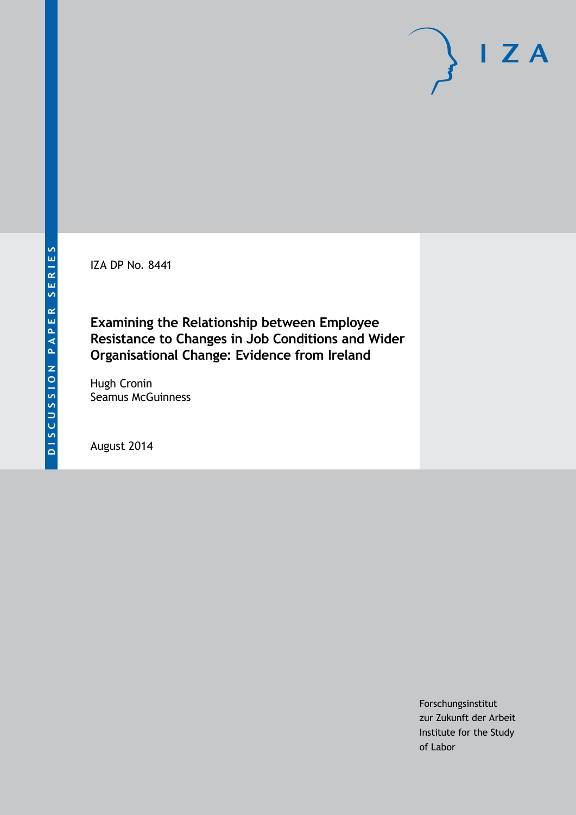IZA DP No. 8441

**Examining the Relationship between Employee Resistance to Changes in Job Conditions and Wider Organisational Change: Evidence from Ireland**

Hugh Cronin Seamus McGuinness

August 2014

Forschungsinstitut zur Zukunft der Arbeit Institute for the Study of Labor

 $I Z A$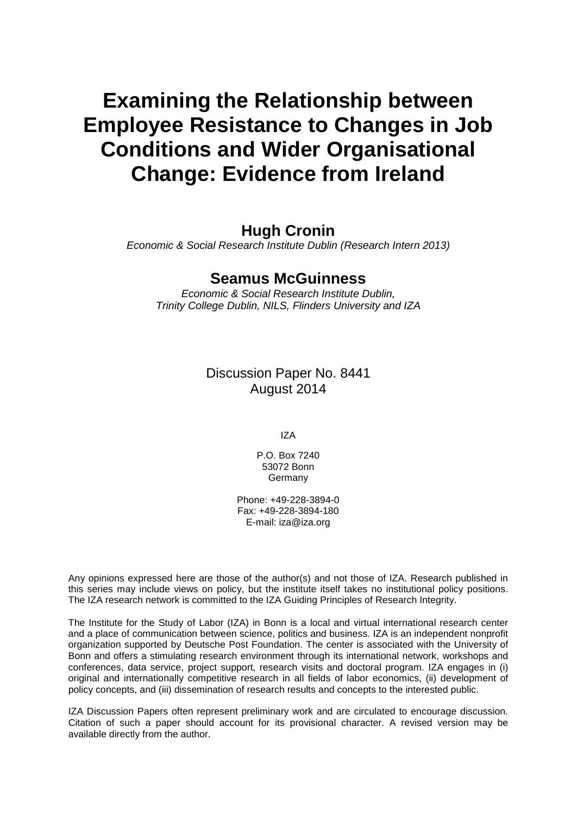# **Examining the Relationship between Employee Resistance to Changes in Job Conditions and Wider Organisational Change: Evidence from Ireland**

# **Hugh Cronin**

*Economic & Social Research Institute Dublin (Research Intern 2013)*

# **Seamus McGuinness**

*Economic & Social Research Institute Dublin, Trinity College Dublin, NILS, Flinders University and IZA*

> Discussion Paper No. 8441 August 2014

> > IZA

P.O. Box 7240 53072 Bonn Germany

Phone: +49-228-3894-0 Fax: +49-228-3894-180 E-mail: [iza@iza.org](mailto:iza@iza.org)

Any opinions expressed here are those of the author(s) and not those of IZA. Research published in this series may include views on policy, but the institute itself takes no institutional policy positions. The IZA research network is committed to the IZA Guiding Principles of Research Integrity.

The Institute for the Study of Labor (IZA) in Bonn is a local and virtual international research center and a place of communication between science, politics and business. IZA is an independent nonprofit organization supported by Deutsche Post Foundation. The center is associated with the University of Bonn and offers a stimulating research environment through its international network, workshops and conferences, data service, project support, research visits and doctoral program. IZA engages in (i) original and internationally competitive research in all fields of labor economics, (ii) development of policy concepts, and (iii) dissemination of research results and concepts to the interested public.

IZA Discussion Papers often represent preliminary work and are circulated to encourage discussion. Citation of such a paper should account for its provisional character. A revised version may be available directly from the author.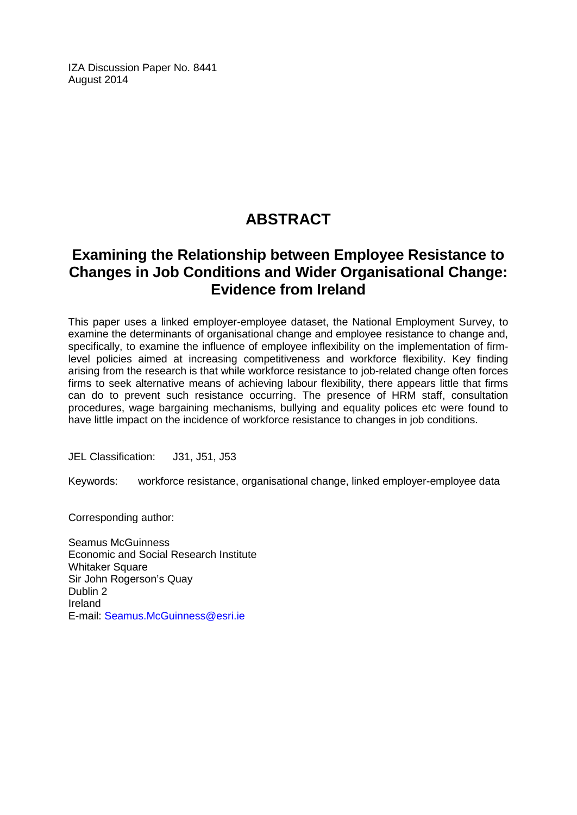IZA Discussion Paper No. 8441 August 2014

# **ABSTRACT**

# **Examining the Relationship between Employee Resistance to Changes in Job Conditions and Wider Organisational Change: Evidence from Ireland**

This paper uses a linked employer-employee dataset, the National Employment Survey, to examine the determinants of organisational change and employee resistance to change and, specifically, to examine the influence of employee inflexibility on the implementation of firmlevel policies aimed at increasing competitiveness and workforce flexibility. Key finding arising from the research is that while workforce resistance to job-related change often forces firms to seek alternative means of achieving labour flexibility, there appears little that firms can do to prevent such resistance occurring. The presence of HRM staff, consultation procedures, wage bargaining mechanisms, bullying and equality polices etc were found to have little impact on the incidence of workforce resistance to changes in job conditions.

JEL Classification: J31, J51, J53

Keywords: workforce resistance, organisational change, linked employer-employee data

Corresponding author:

Seamus McGuinness Economic and Social Research Institute Whitaker Square Sir John Rogerson's Quay Dublin 2 Ireland E-mail: [Seamus.McGuinness@esri.ie](mailto:Seamus.McGuinness@esri.ie)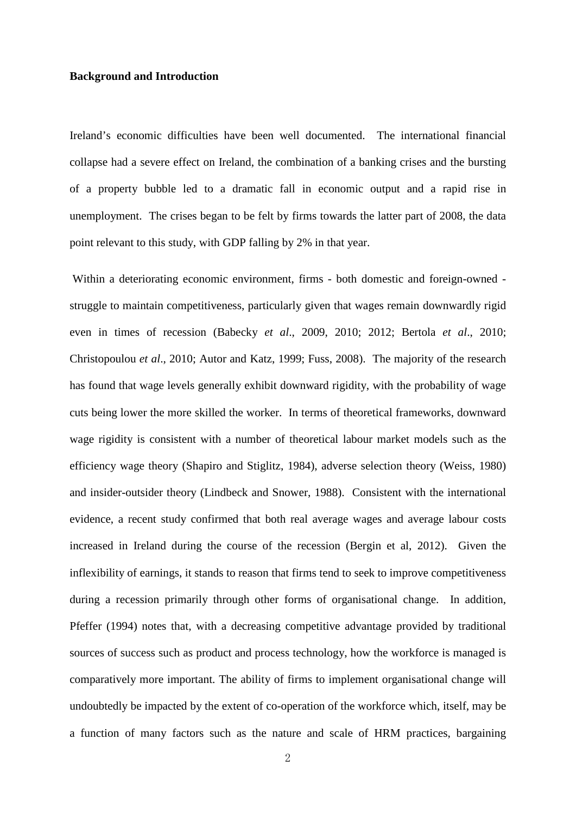## **Background and Introduction**

Ireland's economic difficulties have been well documented. The international financial collapse had a severe effect on Ireland, the combination of a banking crises and the bursting of a property bubble led to a dramatic fall in economic output and a rapid rise in unemployment. The crises began to be felt by firms towards the latter part of 2008, the data point relevant to this study, with GDP falling by 2% in that year.

Within a deteriorating economic environment, firms - both domestic and foreign-owned struggle to maintain competitiveness, particularly given that wages remain downwardly rigid even in times of recession (Babecky *et al*., 2009, 2010; 2012; Bertola *et al*., 2010; Christopoulou *et al*., 2010; Autor and Katz, 1999; Fuss, 2008). The majority of the research has found that wage levels generally exhibit downward rigidity, with the probability of wage cuts being lower the more skilled the worker. In terms of theoretical frameworks, downward wage rigidity is consistent with a number of theoretical labour market models such as the efficiency wage theory (Shapiro and Stiglitz, 1984), adverse selection theory (Weiss, 1980) and insider-outsider theory (Lindbeck and Snower, 1988). Consistent with the international evidence, a recent study confirmed that both real average wages and average labour costs increased in Ireland during the course of the recession (Bergin et al, 2012). Given the inflexibility of earnings, it stands to reason that firms tend to seek to improve competitiveness during a recession primarily through other forms of organisational change. In addition, Pfeffer (1994) notes that, with a decreasing competitive advantage provided by traditional sources of success such as product and process technology, how the workforce is managed is comparatively more important. The ability of firms to implement organisational change will undoubtedly be impacted by the extent of co-operation of the workforce which, itself, may be a function of many factors such as the nature and scale of HRM practices, bargaining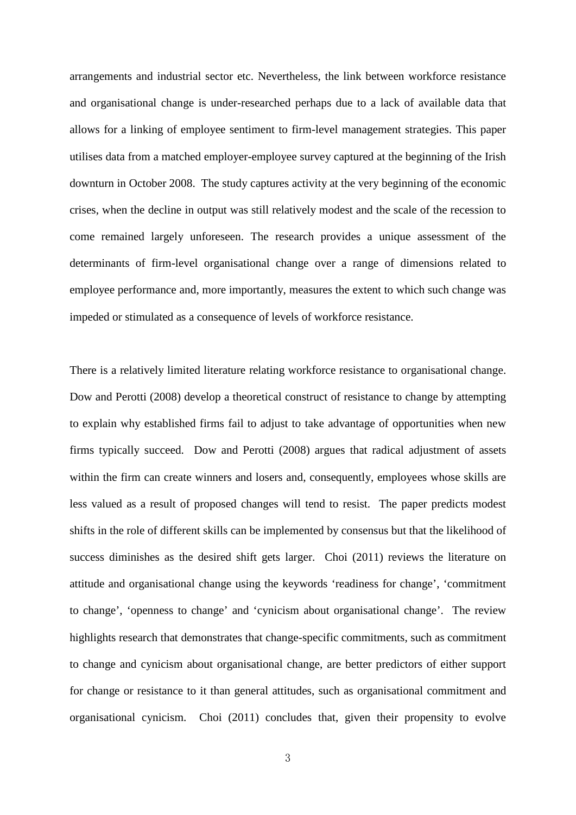arrangements and industrial sector etc. Nevertheless, the link between workforce resistance and organisational change is under-researched perhaps due to a lack of available data that allows for a linking of employee sentiment to firm-level management strategies. This paper utilises data from a matched employer-employee survey captured at the beginning of the Irish downturn in October 2008. The study captures activity at the very beginning of the economic crises, when the decline in output was still relatively modest and the scale of the recession to come remained largely unforeseen. The research provides a unique assessment of the determinants of firm-level organisational change over a range of dimensions related to employee performance and, more importantly, measures the extent to which such change was impeded or stimulated as a consequence of levels of workforce resistance.

There is a relatively limited literature relating workforce resistance to organisational change. Dow and Perotti (2008) develop a theoretical construct of resistance to change by attempting to explain why established firms fail to adjust to take advantage of opportunities when new firms typically succeed. Dow and Perotti (2008) argues that radical adjustment of assets within the firm can create winners and losers and, consequently, employees whose skills are less valued as a result of proposed changes will tend to resist. The paper predicts modest shifts in the role of different skills can be implemented by consensus but that the likelihood of success diminishes as the desired shift gets larger. Choi (2011) reviews the literature on attitude and organisational change using the keywords 'readiness for change', 'commitment to change', 'openness to change' and 'cynicism about organisational change'. The review highlights research that demonstrates that change-specific commitments, such as commitment to change and cynicism about organisational change, are better predictors of either support for change or resistance to it than general attitudes, such as organisational commitment and organisational cynicism. Choi (2011) concludes that, given their propensity to evolve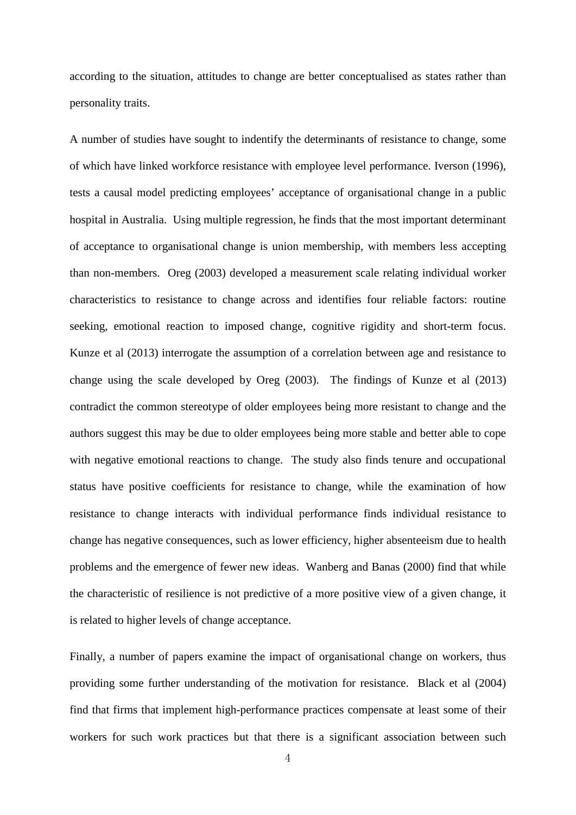according to the situation, attitudes to change are better conceptualised as states rather than personality traits.

A number of studies have sought to indentify the determinants of resistance to change, some of which have linked workforce resistance with employee level performance. Iverson (1996), tests a causal model predicting employees' acceptance of organisational change in a public hospital in Australia. Using multiple regression, he finds that the most important determinant of acceptance to organisational change is union membership, with members less accepting than non-members. Oreg (2003) developed a measurement scale relating individual worker characteristics to resistance to change across and identifies four reliable factors: routine seeking, emotional reaction to imposed change, cognitive rigidity and short-term focus. Kunze et al (2013) interrogate the assumption of a correlation between age and resistance to change using the scale developed by Oreg (2003). The findings of Kunze et al (2013) contradict the common stereotype of older employees being more resistant to change and the authors suggest this may be due to older employees being more stable and better able to cope with negative emotional reactions to change. The study also finds tenure and occupational status have positive coefficients for resistance to change, while the examination of how resistance to change interacts with individual performance finds individual resistance to change has negative consequences, such as lower efficiency, higher absenteeism due to health problems and the emergence of fewer new ideas. Wanberg and Banas (2000) find that while the characteristic of resilience is not predictive of a more positive view of a given change, it is related to higher levels of change acceptance.

Finally, a number of papers examine the impact of organisational change on workers, thus providing some further understanding of the motivation for resistance. Black et al (2004) find that firms that implement high-performance practices compensate at least some of their workers for such work practices but that there is a significant association between such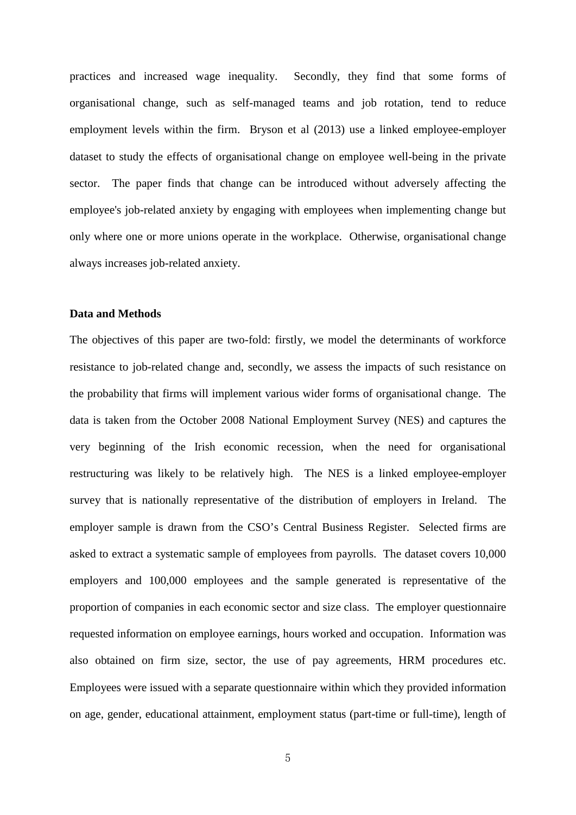practices and increased wage inequality. Secondly, they find that some forms of organisational change, such as self-managed teams and job rotation, tend to reduce employment levels within the firm. Bryson et al (2013) use a linked employee-employer dataset to study the effects of organisational change on employee well-being in the private sector. The paper finds that change can be introduced without adversely affecting the employee's job-related anxiety by engaging with employees when implementing change but only where one or more unions operate in the workplace. Otherwise, organisational change always increases job-related anxiety.

# **Data and Methods**

The objectives of this paper are two-fold: firstly, we model the determinants of workforce resistance to job-related change and, secondly, we assess the impacts of such resistance on the probability that firms will implement various wider forms of organisational change. The data is taken from the October 2008 National Employment Survey (NES) and captures the very beginning of the Irish economic recession, when the need for organisational restructuring was likely to be relatively high. The NES is a linked employee-employer survey that is nationally representative of the distribution of employers in Ireland. The employer sample is drawn from the CSO's Central Business Register. Selected firms are asked to extract a systematic sample of employees from payrolls. The dataset covers 10,000 employers and 100,000 employees and the sample generated is representative of the proportion of companies in each economic sector and size class. The employer questionnaire requested information on employee earnings, hours worked and occupation. Information was also obtained on firm size, sector, the use of pay agreements, HRM procedures etc. Employees were issued with a separate questionnaire within which they provided information on age, gender, educational attainment, employment status (part-time or full-time), length of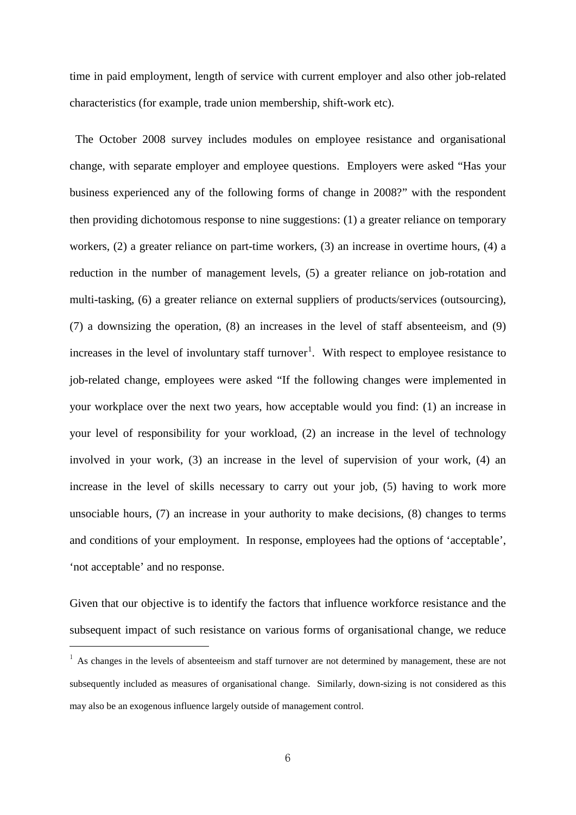time in paid employment, length of service with current employer and also other job-related characteristics (for example, trade union membership, shift-work etc).

 The October 2008 survey includes modules on employee resistance and organisational change, with separate employer and employee questions. Employers were asked "Has your business experienced any of the following forms of change in 2008?" with the respondent then providing dichotomous response to nine suggestions: (1) a greater reliance on temporary workers, (2) a greater reliance on part-time workers, (3) an increase in overtime hours, (4) a reduction in the number of management levels, (5) a greater reliance on job-rotation and multi-tasking, (6) a greater reliance on external suppliers of products/services (outsourcing), (7) a downsizing the operation, (8) an increases in the level of staff absenteeism, and (9) increases in the level of involuntary staff turnover<sup>1</sup>. With respect to employee resistance to job-related change, employees were asked "If the following changes were implemented in your workplace over the next two years, how acceptable would you find: (1) an increase in your level of responsibility for your workload, (2) an increase in the level of technology involved in your work, (3) an increase in the level of supervision of your work, (4) an increase in the level of skills necessary to carry out your job, (5) having to work more unsociable hours, (7) an increase in your authority to make decisions, (8) changes to terms and conditions of your employment. In response, employees had the options of 'acceptable', 'not acceptable' and no response.

Given that our objective is to identify the factors that influence workforce resistance and the subsequent impact of such resistance on various forms of organisational change, we reduce

 $\overline{a}$ 

<span id="page-7-0"></span> $1$  As changes in the levels of absenteeism and staff turnover are not determined by management, these are not subsequently included as measures of organisational change. Similarly, down-sizing is not considered as this may also be an exogenous influence largely outside of management control.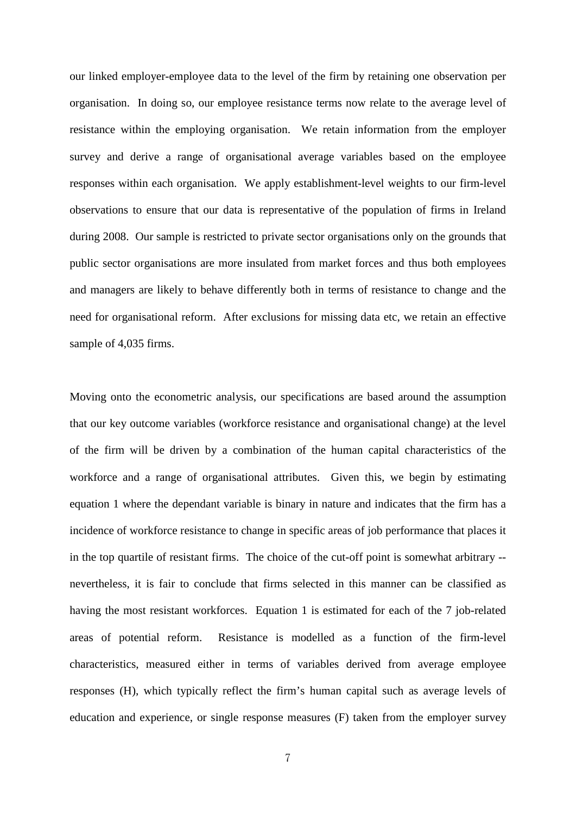our linked employer-employee data to the level of the firm by retaining one observation per organisation. In doing so, our employee resistance terms now relate to the average level of resistance within the employing organisation. We retain information from the employer survey and derive a range of organisational average variables based on the employee responses within each organisation. We apply establishment-level weights to our firm-level observations to ensure that our data is representative of the population of firms in Ireland during 2008. Our sample is restricted to private sector organisations only on the grounds that public sector organisations are more insulated from market forces and thus both employees and managers are likely to behave differently both in terms of resistance to change and the need for organisational reform. After exclusions for missing data etc, we retain an effective sample of 4,035 firms.

Moving onto the econometric analysis, our specifications are based around the assumption that our key outcome variables (workforce resistance and organisational change) at the level of the firm will be driven by a combination of the human capital characteristics of the workforce and a range of organisational attributes. Given this, we begin by estimating equation 1 where the dependant variable is binary in nature and indicates that the firm has a incidence of workforce resistance to change in specific areas of job performance that places it in the top quartile of resistant firms. The choice of the cut-off point is somewhat arbitrary - nevertheless, it is fair to conclude that firms selected in this manner can be classified as having the most resistant workforces. Equation 1 is estimated for each of the 7 job-related areas of potential reform. Resistance is modelled as a function of the firm-level characteristics, measured either in terms of variables derived from average employee responses (H), which typically reflect the firm's human capital such as average levels of education and experience, or single response measures (F) taken from the employer survey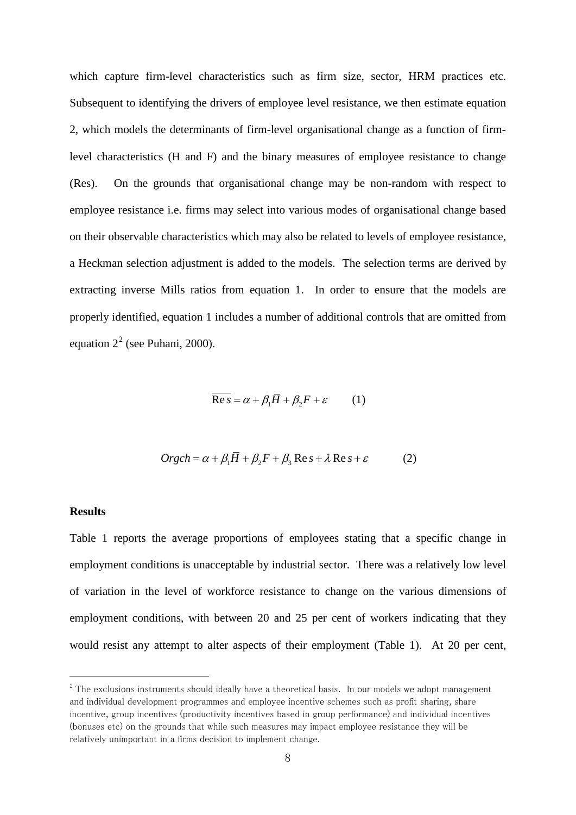which capture firm-level characteristics such as firm size, sector, HRM practices etc. Subsequent to identifying the drivers of employee level resistance, we then estimate equation 2, which models the determinants of firm-level organisational change as a function of firmlevel characteristics (H and F) and the binary measures of employee resistance to change (Res). On the grounds that organisational change may be non-random with respect to employee resistance i.e. firms may select into various modes of organisational change based on their observable characteristics which may also be related to levels of employee resistance, a Heckman selection adjustment is added to the models. The selection terms are derived by extracting inverse Mills ratios from equation 1. In order to ensure that the models are properly identified, equation 1 includes a number of additional controls that are omitted from equation  $2^2$  $2^2$  (see Puhani, 2000).

$$
\operatorname{Re} s = \alpha + \beta_1 \overline{H} + \beta_2 F + \varepsilon \qquad (1)
$$

$$
Orgch = \alpha + \beta_1 \overline{H} + \beta_2 F + \beta_3 \operatorname{Re} s + \lambda \operatorname{Re} s + \varepsilon \tag{2}
$$

### **Results**

 $\overline{a}$ 

Table 1 reports the average proportions of employees stating that a specific change in employment conditions is unacceptable by industrial sector. There was a relatively low level of variation in the level of workforce resistance to change on the various dimensions of employment conditions, with between 20 and 25 per cent of workers indicating that they would resist any attempt to alter aspects of their employment (Table 1). At 20 per cent,

<span id="page-9-0"></span><sup>&</sup>lt;sup>2</sup> The exclusions instruments should ideally have a theoretical basis. In our models we adopt management and individual development programmes and employee incentive schemes such as profit sharing, share incentive, group incentives (productivity incentives based in group performance) and individual incentives (bonuses etc) on the grounds that while such measures may impact employee resistance they will be relatively unimportant in a firms decision to implement change.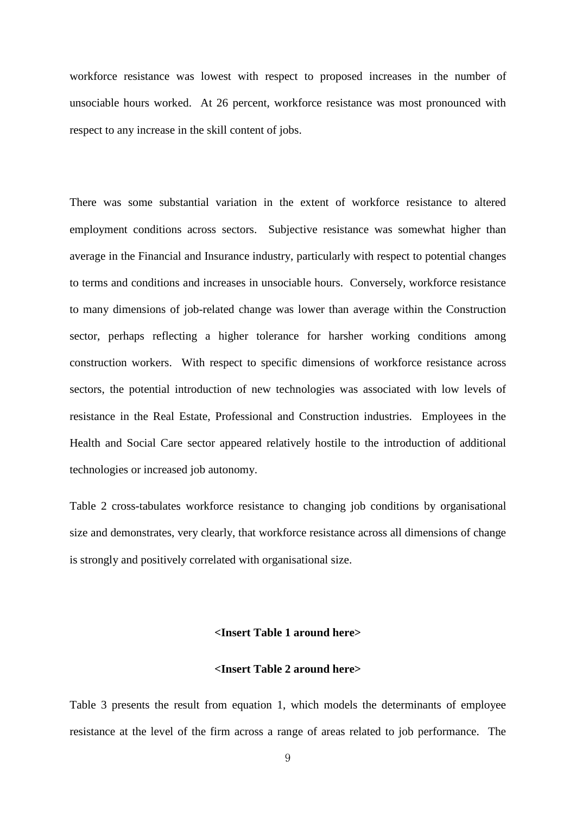workforce resistance was lowest with respect to proposed increases in the number of unsociable hours worked. At 26 percent, workforce resistance was most pronounced with respect to any increase in the skill content of jobs.

There was some substantial variation in the extent of workforce resistance to altered employment conditions across sectors. Subjective resistance was somewhat higher than average in the Financial and Insurance industry, particularly with respect to potential changes to terms and conditions and increases in unsociable hours. Conversely, workforce resistance to many dimensions of job-related change was lower than average within the Construction sector, perhaps reflecting a higher tolerance for harsher working conditions among construction workers. With respect to specific dimensions of workforce resistance across sectors, the potential introduction of new technologies was associated with low levels of resistance in the Real Estate, Professional and Construction industries. Employees in the Health and Social Care sector appeared relatively hostile to the introduction of additional technologies or increased job autonomy.

Table 2 cross-tabulates workforce resistance to changing job conditions by organisational size and demonstrates, very clearly, that workforce resistance across all dimensions of change is strongly and positively correlated with organisational size.

# **<Insert Table 1 around here>**

## **<Insert Table 2 around here>**

Table 3 presents the result from equation 1, which models the determinants of employee resistance at the level of the firm across a range of areas related to job performance. The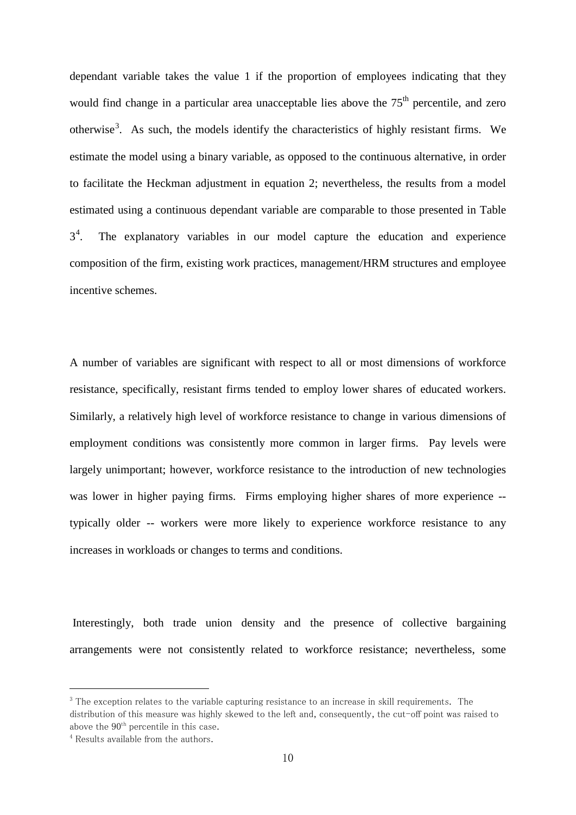dependant variable takes the value 1 if the proportion of employees indicating that they would find change in a particular area unacceptable lies above the  $75<sup>th</sup>$  percentile, and zero otherwise<sup>[3](#page-9-0)</sup>. As such, the models identify the characteristics of highly resistant firms. We estimate the model using a binary variable, as opposed to the continuous alternative, in order to facilitate the Heckman adjustment in equation 2; nevertheless, the results from a model estimated using a continuous dependant variable are comparable to those presented in Table  $3^4$  $3^4$ . . The explanatory variables in our model capture the education and experience composition of the firm, existing work practices, management/HRM structures and employee incentive schemes.

A number of variables are significant with respect to all or most dimensions of workforce resistance, specifically, resistant firms tended to employ lower shares of educated workers. Similarly, a relatively high level of workforce resistance to change in various dimensions of employment conditions was consistently more common in larger firms. Pay levels were largely unimportant; however, workforce resistance to the introduction of new technologies was lower in higher paying firms. Firms employing higher shares of more experience - typically older -- workers were more likely to experience workforce resistance to any increases in workloads or changes to terms and conditions.

Interestingly, both trade union density and the presence of collective bargaining arrangements were not consistently related to workforce resistance; nevertheless, some

 $\overline{a}$ 

<span id="page-11-1"></span><sup>&</sup>lt;sup>3</sup> The exception relates to the variable capturing resistance to an increase in skill requirements. The distribution of this measure was highly skewed to the left and, consequently, the cut-off point was raised to above the  $90<sup>th</sup>$  percentile in this case.<br><sup>4</sup> Results available from the authors.

<span id="page-11-0"></span>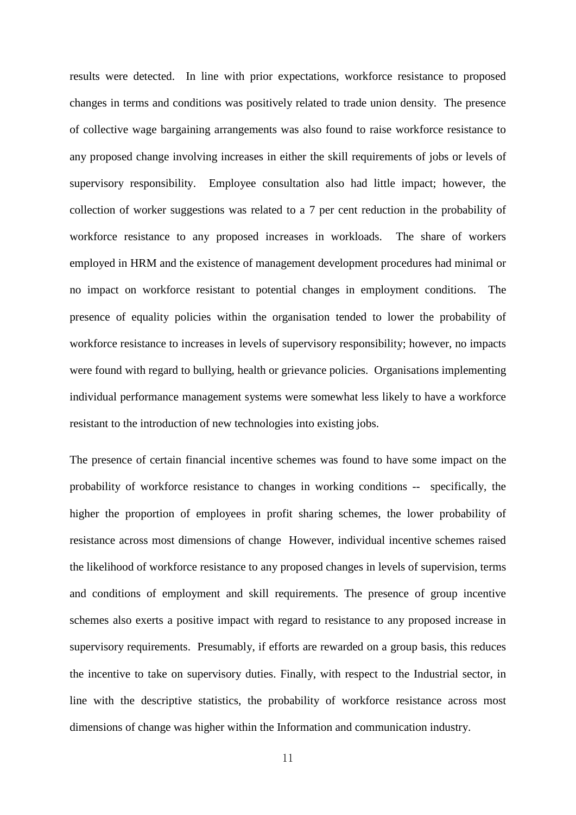results were detected. In line with prior expectations, workforce resistance to proposed changes in terms and conditions was positively related to trade union density. The presence of collective wage bargaining arrangements was also found to raise workforce resistance to any proposed change involving increases in either the skill requirements of jobs or levels of supervisory responsibility. Employee consultation also had little impact; however, the collection of worker suggestions was related to a 7 per cent reduction in the probability of workforce resistance to any proposed increases in workloads. The share of workers employed in HRM and the existence of management development procedures had minimal or no impact on workforce resistant to potential changes in employment conditions. The presence of equality policies within the organisation tended to lower the probability of workforce resistance to increases in levels of supervisory responsibility; however, no impacts were found with regard to bullying, health or grievance policies. Organisations implementing individual performance management systems were somewhat less likely to have a workforce resistant to the introduction of new technologies into existing jobs.

The presence of certain financial incentive schemes was found to have some impact on the probability of workforce resistance to changes in working conditions -- specifically, the higher the proportion of employees in profit sharing schemes, the lower probability of resistance across most dimensions of change However, individual incentive schemes raised the likelihood of workforce resistance to any proposed changes in levels of supervision, terms and conditions of employment and skill requirements. The presence of group incentive schemes also exerts a positive impact with regard to resistance to any proposed increase in supervisory requirements. Presumably, if efforts are rewarded on a group basis, this reduces the incentive to take on supervisory duties. Finally, with respect to the Industrial sector, in line with the descriptive statistics, the probability of workforce resistance across most dimensions of change was higher within the Information and communication industry.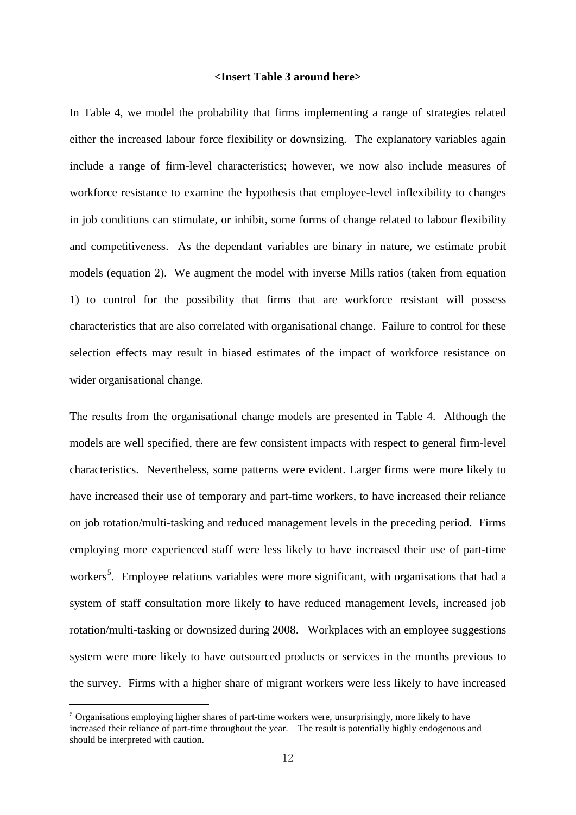## **<Insert Table 3 around here>**

In Table 4, we model the probability that firms implementing a range of strategies related either the increased labour force flexibility or downsizing. The explanatory variables again include a range of firm-level characteristics; however, we now also include measures of workforce resistance to examine the hypothesis that employee-level inflexibility to changes in job conditions can stimulate, or inhibit, some forms of change related to labour flexibility and competitiveness. As the dependant variables are binary in nature, we estimate probit models (equation 2). We augment the model with inverse Mills ratios (taken from equation 1) to control for the possibility that firms that are workforce resistant will possess characteristics that are also correlated with organisational change. Failure to control for these selection effects may result in biased estimates of the impact of workforce resistance on wider organisational change.

The results from the organisational change models are presented in Table 4. Although the models are well specified, there are few consistent impacts with respect to general firm-level characteristics. Nevertheless, some patterns were evident. Larger firms were more likely to have increased their use of temporary and part-time workers, to have increased their reliance on job rotation/multi-tasking and reduced management levels in the preceding period. Firms employing more experienced staff were less likely to have increased their use of part-time workers<sup>[5](#page-11-1)</sup>. Employee relations variables were more significant, with organisations that had a system of staff consultation more likely to have reduced management levels, increased job rotation/multi-tasking or downsized during 2008. Workplaces with an employee suggestions system were more likely to have outsourced products or services in the months previous to the survey. Firms with a higher share of migrant workers were less likely to have increased

 $\overline{a}$ 

<span id="page-13-0"></span> $5$  Organisations employing higher shares of part-time workers were, unsurprisingly, more likely to have increased their reliance of part-time throughout the year. The result is potentially highly endogenous and should be interpreted with caution.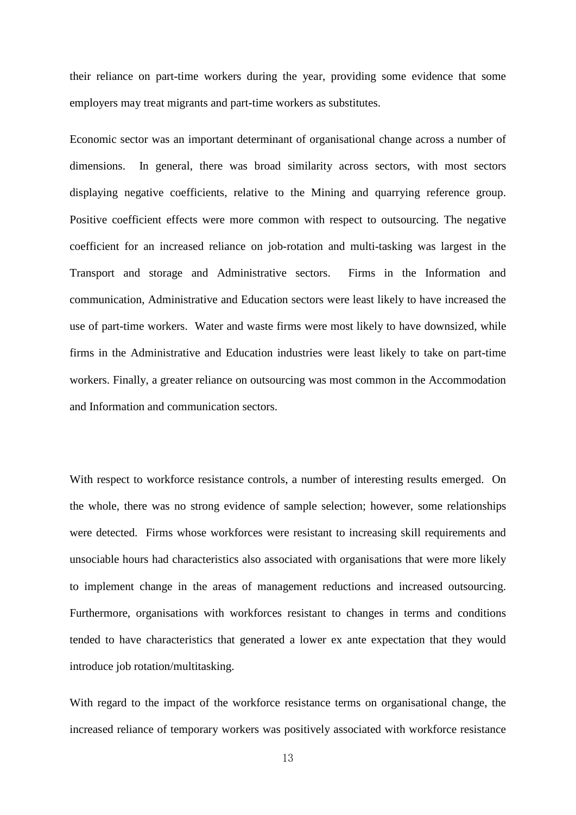their reliance on part-time workers during the year, providing some evidence that some employers may treat migrants and part-time workers as substitutes.

Economic sector was an important determinant of organisational change across a number of dimensions. In general, there was broad similarity across sectors, with most sectors displaying negative coefficients, relative to the Mining and quarrying reference group. Positive coefficient effects were more common with respect to outsourcing. The negative coefficient for an increased reliance on job-rotation and multi-tasking was largest in the Transport and storage and Administrative sectors. Firms in the Information and communication, Administrative and Education sectors were least likely to have increased the use of part-time workers. Water and waste firms were most likely to have downsized, while firms in the Administrative and Education industries were least likely to take on part-time workers. Finally, a greater reliance on outsourcing was most common in the Accommodation and Information and communication sectors.

With respect to workforce resistance controls, a number of interesting results emerged. On the whole, there was no strong evidence of sample selection; however, some relationships were detected. Firms whose workforces were resistant to increasing skill requirements and unsociable hours had characteristics also associated with organisations that were more likely to implement change in the areas of management reductions and increased outsourcing. Furthermore, organisations with workforces resistant to changes in terms and conditions tended to have characteristics that generated a lower ex ante expectation that they would introduce job rotation/multitasking.

With regard to the impact of the workforce resistance terms on organisational change, the increased reliance of temporary workers was positively associated with workforce resistance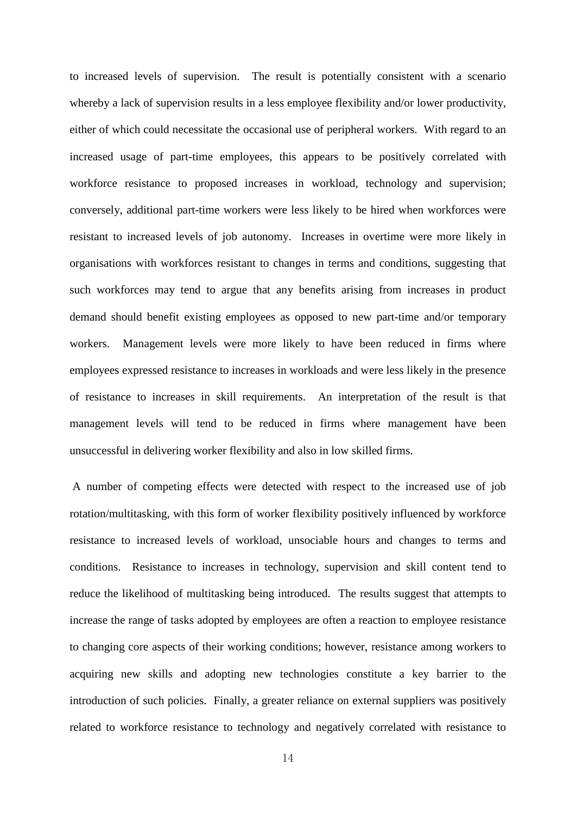to increased levels of supervision. The result is potentially consistent with a scenario whereby a lack of supervision results in a less employee flexibility and/or lower productivity, either of which could necessitate the occasional use of peripheral workers. With regard to an increased usage of part-time employees, this appears to be positively correlated with workforce resistance to proposed increases in workload, technology and supervision; conversely, additional part-time workers were less likely to be hired when workforces were resistant to increased levels of job autonomy. Increases in overtime were more likely in organisations with workforces resistant to changes in terms and conditions, suggesting that such workforces may tend to argue that any benefits arising from increases in product demand should benefit existing employees as opposed to new part-time and/or temporary workers. Management levels were more likely to have been reduced in firms where employees expressed resistance to increases in workloads and were less likely in the presence of resistance to increases in skill requirements. An interpretation of the result is that management levels will tend to be reduced in firms where management have been unsuccessful in delivering worker flexibility and also in low skilled firms.

A number of competing effects were detected with respect to the increased use of job rotation/multitasking, with this form of worker flexibility positively influenced by workforce resistance to increased levels of workload, unsociable hours and changes to terms and conditions. Resistance to increases in technology, supervision and skill content tend to reduce the likelihood of multitasking being introduced. The results suggest that attempts to increase the range of tasks adopted by employees are often a reaction to employee resistance to changing core aspects of their working conditions; however, resistance among workers to acquiring new skills and adopting new technologies constitute a key barrier to the introduction of such policies. Finally, a greater reliance on external suppliers was positively related to workforce resistance to technology and negatively correlated with resistance to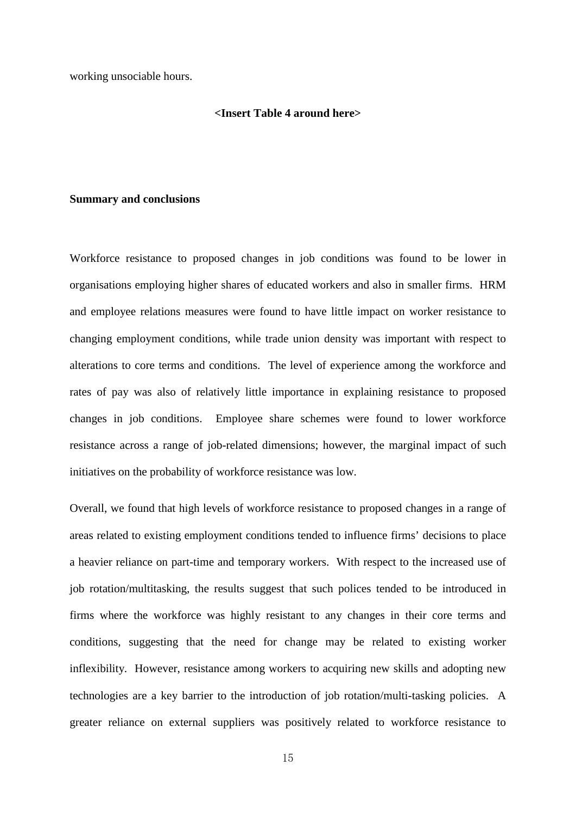working unsociable hours.

# **<Insert Table 4 around here>**

### **Summary and conclusions**

Workforce resistance to proposed changes in job conditions was found to be lower in organisations employing higher shares of educated workers and also in smaller firms. HRM and employee relations measures were found to have little impact on worker resistance to changing employment conditions, while trade union density was important with respect to alterations to core terms and conditions. The level of experience among the workforce and rates of pay was also of relatively little importance in explaining resistance to proposed changes in job conditions. Employee share schemes were found to lower workforce resistance across a range of job-related dimensions; however, the marginal impact of such initiatives on the probability of workforce resistance was low.

Overall, we found that high levels of workforce resistance to proposed changes in a range of areas related to existing employment conditions tended to influence firms' decisions to place a heavier reliance on part-time and temporary workers. With respect to the increased use of job rotation/multitasking, the results suggest that such polices tended to be introduced in firms where the workforce was highly resistant to any changes in their core terms and conditions, suggesting that the need for change may be related to existing worker inflexibility. However, resistance among workers to acquiring new skills and adopting new technologies are a key barrier to the introduction of job rotation/multi-tasking policies. A greater reliance on external suppliers was positively related to workforce resistance to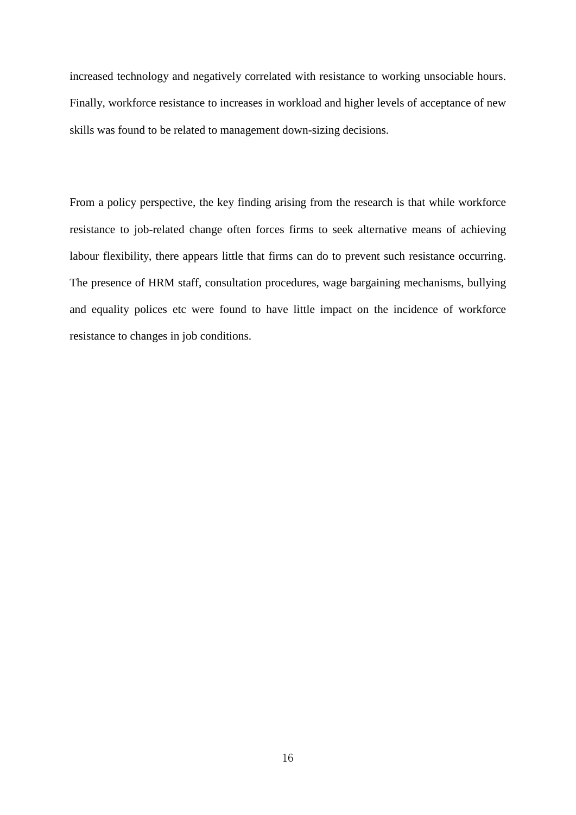increased technology and negatively correlated with resistance to working unsociable hours. Finally, workforce resistance to increases in workload and higher levels of acceptance of new skills was found to be related to management down-sizing decisions.

From a policy perspective, the key finding arising from the research is that while workforce resistance to job-related change often forces firms to seek alternative means of achieving labour flexibility, there appears little that firms can do to prevent such resistance occurring. The presence of HRM staff, consultation procedures, wage bargaining mechanisms, bullying and equality polices etc were found to have little impact on the incidence of workforce resistance to changes in job conditions.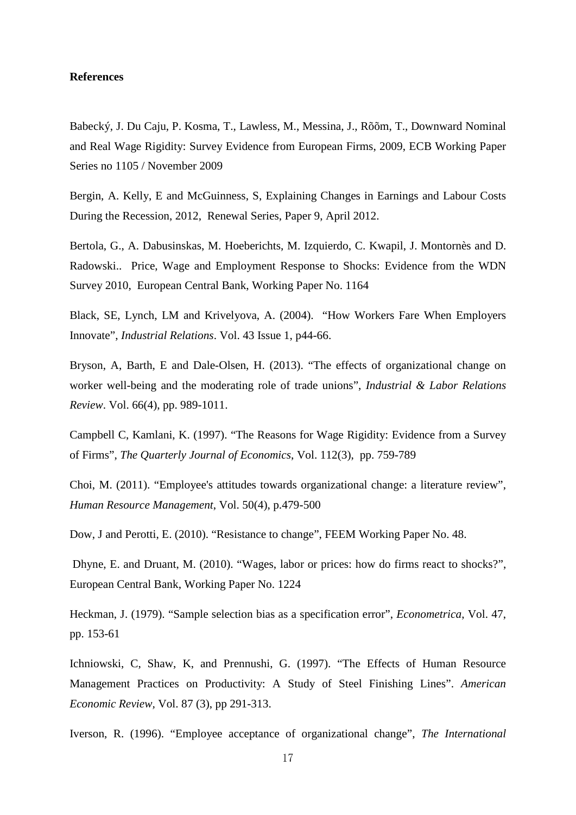# **References**

Babecký, J. Du Caju, P. Kosma, T., Lawless, M., Messina, J., Rõõm, T., Downward Nominal and Real Wage Rigidity: Survey Evidence from European Firms, 2009, ECB Working Paper Series no 1105 / November 2009

Bergin, A. Kelly, E and McGuinness, S, Explaining Changes in Earnings and Labour Costs During the Recession, 2012, Renewal Series, Paper 9, April 2012.

Bertola, G., A. Dabusinskas, M. Hoeberichts, M. Izquierdo, C. Kwapil, J. Montornès and D. Radowski.. Price, Wage and Employment Response to Shocks: Evidence from the WDN Survey 2010, European Central Bank, Working Paper No. 1164

Black, SE, Lynch, LM and Krivelyova, A. (2004). "How Workers Fare When Employers Innovate", *Industrial Relations*. Vol. 43 Issue 1, p44-66.

Bryson, A, Barth, E and Dale-Olsen, H. (2013). "The effects of organizational change on worker well-being and the moderating role of trade unions", *Industrial & Labor Relations Review*. Vol. 66(4), pp. 989-1011.

Campbell C, Kamlani, K. (1997). "The Reasons for Wage Rigidity: Evidence from a Survey of Firms", *The Quarterly Journal of Economics*, Vol. 112(3), pp. 759-789

Choi, M. (2011). "Employee's attitudes towards organizational change: a literature review", *Human Resource Management*, Vol. 50(4), p.479-500

Dow, J and Perotti, E. (2010). "Resistance to change", FEEM Working Paper No. 48.

Dhyne, E. and Druant, M. (2010). "Wages, labor or prices: how do firms react to shocks?", European Central Bank, Working Paper No. 1224

Heckman, J. (1979). "Sample selection bias as a specification error", *Econometrica*, Vol. 47, pp. 153-61

Ichniowski, C, Shaw, K, and Prennushi, G. (1997). "The Effects of Human Resource Management Practices on Productivity: A Study of Steel Finishing Lines". *American Economic Review,* Vol. 87 (3), pp 291-313.

Iverson, R. (1996). "Employee acceptance of organizational change", *The International*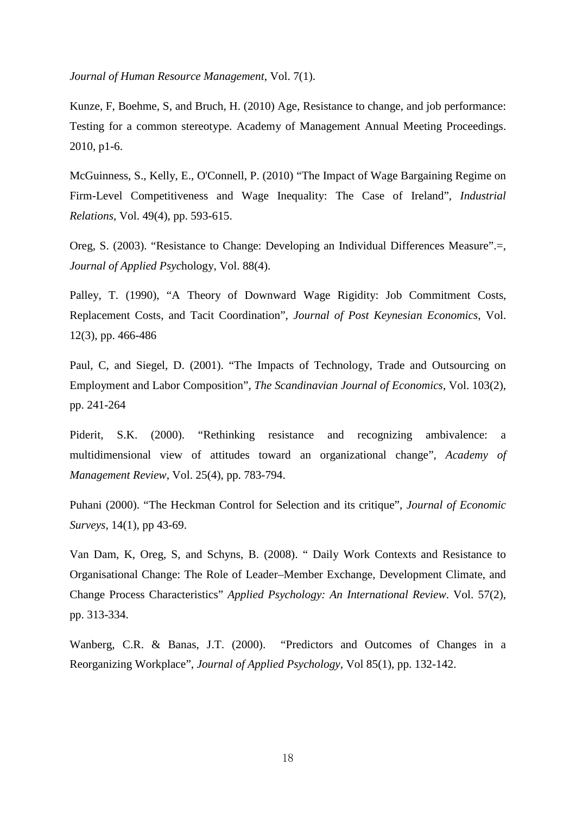*Journal of Human Resource Management*, Vol. 7(1).

Kunze, F, Boehme, S, and Bruch, H. (2010) Age, Resistance to change, and job performance: Testing for a common stereotype. Academy of Management Annual Meeting Proceedings. 2010, p1-6.

McGuinness, S., Kelly, E., O'Connell, P. (2010) "The Impact of Wage Bargaining Regime on Firm-Level Competitiveness and Wage Inequality: The Case of Ireland", *Industrial Relations*, Vol. 49(4), pp. 593-615.

Oreg, S. (2003). "Resistance to Change: Developing an Individual Differences Measure".=, *Journal of Applied Psyc*hology, Vol. 88(4).

Palley, T. (1990), "A Theory of Downward Wage Rigidity: Job Commitment Costs, Replacement Costs, and Tacit Coordination", *Journal of Post Keynesian Economics*, Vol. 12(3), pp. 466-486

Paul, C, and Siegel, D. (2001). "The Impacts of Technology, Trade and Outsourcing on Employment and Labor Composition", *The Scandinavian Journal of Economics*, Vol. 103(2), pp. 241-264

Piderit, S.K. (2000). "Rethinking resistance and recognizing ambivalence: a multidimensional view of attitudes toward an organizational change", *Academy of Management Review*, Vol. 25(4), pp. 783-794.

Puhani (2000). "The Heckman Control for Selection and its critique", *Journal of Economic Surveys,* 14(1), pp 43-69.

Van Dam, K, Oreg, S, and Schyns, B. (2008). " Daily Work Contexts and Resistance to Organisational Change: The Role of Leader–Member Exchange, Development Climate, and Change Process Characteristics" *Applied Psychology: An International Review*. Vol. 57(2), pp. 313-334.

Wanberg, C.R. & Banas, J.T. (2000). "Predictors and Outcomes of Changes in a Reorganizing Workplace", *Journal of Applied Psychology*, Vol 85(1), pp. 132-142.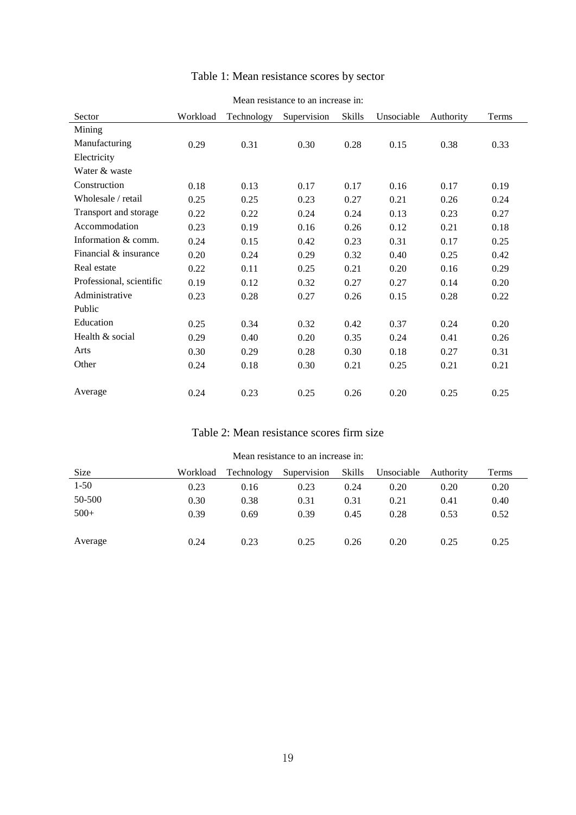| Sector                   | Workload | Technology | Supervision | Skills | Unsociable | Authority | Terms |
|--------------------------|----------|------------|-------------|--------|------------|-----------|-------|
| Mining                   |          |            |             |        |            |           |       |
| Manufacturing            | 0.29     | 0.31       | 0.30        | 0.28   | 0.15       | 0.38      | 0.33  |
| Electricity              |          |            |             |        |            |           |       |
| Water & waste            |          |            |             |        |            |           |       |
| Construction             | 0.18     | 0.13       | 0.17        | 0.17   | 0.16       | 0.17      | 0.19  |
| Wholesale / retail       | 0.25     | 0.25       | 0.23        | 0.27   | 0.21       | 0.26      | 0.24  |
| Transport and storage    | 0.22     | 0.22       | 0.24        | 0.24   | 0.13       | 0.23      | 0.27  |
| Accommodation            | 0.23     | 0.19       | 0.16        | 0.26   | 0.12       | 0.21      | 0.18  |
| Information & comm.      | 0.24     | 0.15       | 0.42        | 0.23   | 0.31       | 0.17      | 0.25  |
| Financial & insurance    | 0.20     | 0.24       | 0.29        | 0.32   | 0.40       | 0.25      | 0.42  |
| Real estate              | 0.22     | 0.11       | 0.25        | 0.21   | 0.20       | 0.16      | 0.29  |
| Professional, scientific | 0.19     | 0.12       | 0.32        | 0.27   | 0.27       | 0.14      | 0.20  |
| Administrative           | 0.23     | 0.28       | 0.27        | 0.26   | 0.15       | 0.28      | 0.22  |
| Public                   |          |            |             |        |            |           |       |
| Education                | 0.25     | 0.34       | 0.32        | 0.42   | 0.37       | 0.24      | 0.20  |
| Health & social          | 0.29     | 0.40       | 0.20        | 0.35   | 0.24       | 0.41      | 0.26  |
| Arts                     | 0.30     | 0.29       | 0.28        | 0.30   | 0.18       | 0.27      | 0.31  |
| Other                    | 0.24     | 0.18       | 0.30        | 0.21   | 0.25       | 0.21      | 0.21  |
|                          |          |            |             |        |            |           |       |
| Average                  | 0.24     | 0.23       | 0.25        | 0.26   | 0.20       | 0.25      | 0.25  |

# Table 1: Mean resistance scores by sector

### Mean resistance to an increase in:

# Table 2: Mean resistance scores firm size

| <b>Size</b> | Workload | Technology | Supervision | Skills | Unsociable | Authority | Terms |
|-------------|----------|------------|-------------|--------|------------|-----------|-------|
| 1-50        | 0.23     | 0.16       | 0.23        | 0.24   | 0.20       | 0.20      | 0.20  |
| 50-500      | 0.30     | 0.38       | 0.31        | 0.31   | 0.21       | 0.41      | 0.40  |
| $500+$      | 0.39     | 0.69       | 0.39        | 0.45   | 0.28       | 0.53      | 0.52  |
|             |          |            |             |        |            |           |       |
| Average     | 0.24     | 0.23       | 0.25        | 0.26   | 0.20       | 0.25      | 0.25  |

### Mean resistance to an increase in: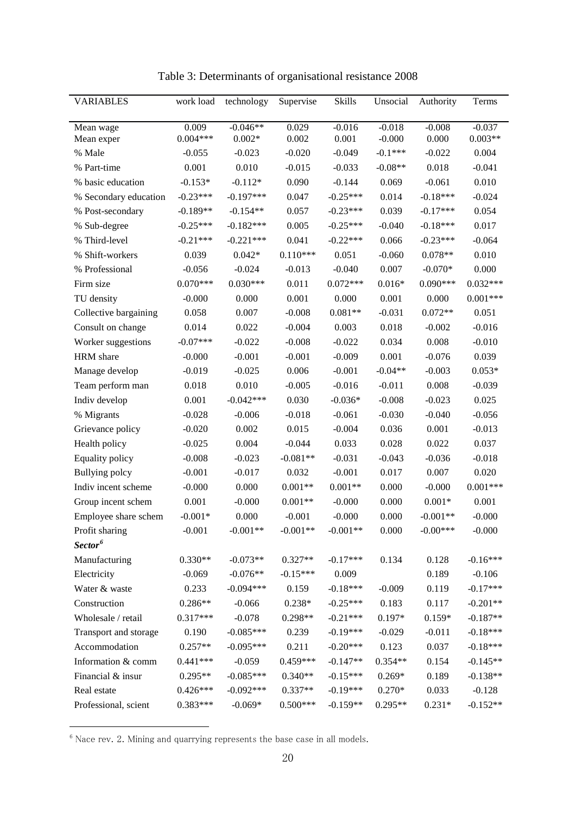| <b>VARIABLES</b>      | work load  | technology  | Supervise  | Skills     | Unsocial  | Authority  | Terms      |
|-----------------------|------------|-------------|------------|------------|-----------|------------|------------|
|                       |            |             |            |            |           |            |            |
| Mean wage             | 0.009      | $-0.046**$  | 0.029      | $-0.016$   | $-0.018$  | $-0.008$   | $-0.037$   |
| Mean exper            | $0.004***$ | $0.002*$    | 0.002      | 0.001      | $-0.000$  | 0.000      | $0.003**$  |
| % Male                | $-0.055$   | $-0.023$    | $-0.020$   | $-0.049$   | $-0.1***$ | $-0.022$   | 0.004      |
| % Part-time           | 0.001      | 0.010       | $-0.015$   | $-0.033$   | $-0.08**$ | 0.018      | $-0.041$   |
| % basic education     | $-0.153*$  | $-0.112*$   | 0.090      | $-0.144$   | 0.069     | $-0.061$   | 0.010      |
| % Secondary education | $-0.23***$ | $-0.197***$ | 0.047      | $-0.25***$ | 0.014     | $-0.18***$ | $-0.024$   |
| % Post-secondary      | $-0.189**$ | $-0.154**$  | 0.057      | $-0.23***$ | 0.039     | $-0.17***$ | 0.054      |
| % Sub-degree          | $-0.25***$ | $-0.182***$ | 0.005      | $-0.25***$ | $-0.040$  | $-0.18***$ | 0.017      |
| % Third-level         | $-0.21***$ | $-0.221***$ | 0.041      | $-0.22***$ | 0.066     | $-0.23***$ | $-0.064$   |
| % Shift-workers       | 0.039      | $0.042*$    | $0.110***$ | 0.051      | $-0.060$  | $0.078**$  | 0.010      |
| % Professional        | $-0.056$   | $-0.024$    | $-0.013$   | $-0.040$   | 0.007     | $-0.070*$  | 0.000      |
| Firm size             | $0.070***$ | $0.030***$  | 0.011      | $0.072***$ | $0.016*$  | $0.090***$ | $0.032***$ |
| TU density            | $-0.000$   | 0.000       | 0.001      | 0.000      | 0.001     | 0.000      | $0.001***$ |
| Collective bargaining | 0.058      | 0.007       | $-0.008$   | $0.081**$  | $-0.031$  | $0.072**$  | 0.051      |
| Consult on change     | 0.014      | 0.022       | $-0.004$   | 0.003      | 0.018     | $-0.002$   | $-0.016$   |
| Worker suggestions    | $-0.07***$ | $-0.022$    | $-0.008$   | $-0.022$   | 0.034     | 0.008      | $-0.010$   |
| HRM share             | $-0.000$   | $-0.001$    | $-0.001$   | $-0.009$   | 0.001     | $-0.076$   | 0.039      |
| Manage develop        | $-0.019$   | $-0.025$    | 0.006      | $-0.001$   | $-0.04**$ | $-0.003$   | $0.053*$   |
| Team perform man      | 0.018      | 0.010       | $-0.005$   | $-0.016$   | $-0.011$  | 0.008      | $-0.039$   |
| Indiv develop         | 0.001      | $-0.042***$ | 0.030      | $-0.036*$  | $-0.008$  | $-0.023$   | 0.025      |
| % Migrants            | $-0.028$   | $-0.006$    | $-0.018$   | $-0.061$   | $-0.030$  | $-0.040$   | $-0.056$   |
| Grievance policy      | $-0.020$   | 0.002       | 0.015      | $-0.004$   | 0.036     | 0.001      | $-0.013$   |
| Health policy         | $-0.025$   | 0.004       | $-0.044$   | 0.033      | 0.028     | 0.022      | 0.037      |
| Equality policy       | $-0.008$   | $-0.023$    | $-0.081**$ | $-0.031$   | $-0.043$  | $-0.036$   | $-0.018$   |
| Bullying polcy        | $-0.001$   | $-0.017$    | 0.032      | $-0.001$   | 0.017     | 0.007      | 0.020      |
| Indiv incent scheme   | $-0.000$   | 0.000       | $0.001**$  | $0.001**$  | 0.000     | $-0.000$   | $0.001***$ |
| Group incent schem    | 0.001      | $-0.000$    | $0.001**$  | $-0.000$   | 0.000     | $0.001*$   | 0.001      |
| Employee share schem  | $-0.001*$  | 0.000       | $-0.001$   | $-0.000$   | 0.000     | $-0.001**$ | $-0.000$   |
| Profit sharing        | $-0.001$   | $-0.001**$  | $-0.001**$ | $-0.001**$ | 0.000     | $-0.00***$ | $-0.000$   |
| Sector <sup>6</sup>   |            |             |            |            |           |            |            |
| Manufacturing         | $0.330**$  | $-0.073**$  | $0.327**$  | $-0.17***$ | 0.134     | 0.128      | $-0.16***$ |
| Electricity           | $-0.069$   | $-0.076**$  | $-0.15***$ | 0.009      |           | 0.189      | $-0.106$   |
| Water & waste         | 0.233      | $-0.094***$ | 0.159      | $-0.18***$ | $-0.009$  | 0.119      | $-0.17***$ |
| Construction          | $0.286**$  | $-0.066$    | $0.238*$   | $-0.25***$ | 0.183     | 0.117      | $-0.201**$ |
| Wholesale / retail    | $0.317***$ | $-0.078$    | 0.298**    | $-0.21***$ | 0.197*    | $0.159*$   | $-0.187**$ |
| Transport and storage | 0.190      | $-0.085***$ | 0.239      | $-0.19***$ | $-0.029$  | $-0.011$   | $-0.18***$ |
| Accommodation         | $0.257**$  | $-0.095***$ | 0.211      | $-0.20***$ | 0.123     | 0.037      | $-0.18***$ |
| Information & comm    | $0.441***$ | $-0.059$    | $0.459***$ | $-0.147**$ | $0.354**$ | 0.154      | $-0.145**$ |
| Financial & insur     | $0.295**$  | $-0.085***$ | $0.340**$  | $-0.15***$ | $0.269*$  | 0.189      | $-0.138**$ |
| Real estate           | $0.426***$ | $-0.092***$ | $0.337**$  | $-0.19***$ | $0.270*$  | 0.033      | $-0.128$   |
| Professional, scient  | $0.383***$ | $-0.069*$   | $0.500***$ | $-0.159**$ | $0.295**$ | $0.231*$   | $-0.152**$ |

Table 3: Determinants of organisational resistance 2008

 $6$  Nace rev. 2. Mining and quarrying represents the base case in all models.

 $\overline{a}$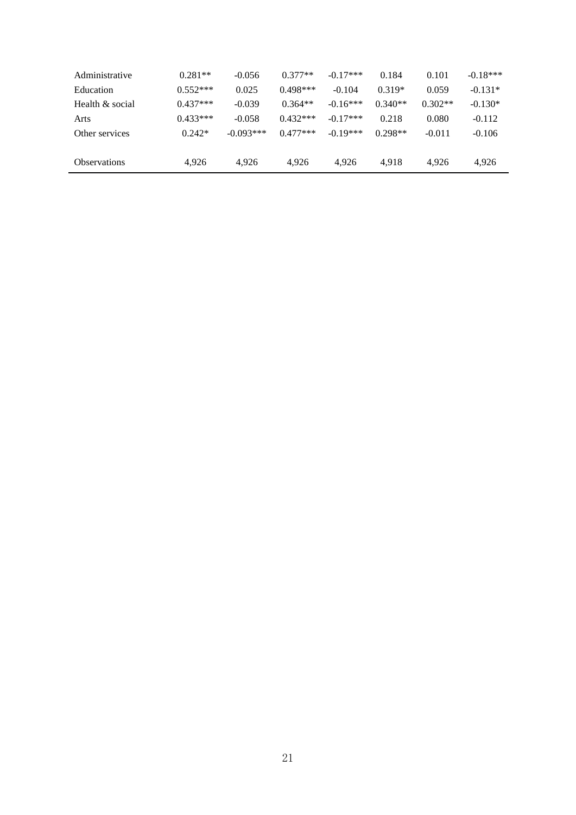| $0.281**$  | $-0.056$    | $0.377**$  | $-0.17***$ | 0.184     | 0.101     | $-0.18***$ |
|------------|-------------|------------|------------|-----------|-----------|------------|
| $0.552***$ | 0.025       | $0.498***$ | $-0.104$   | $0.319*$  | 0.059     | $-0.131*$  |
| $0.437***$ | $-0.039$    | $0.364**$  | $-0.16***$ | $0.340**$ | $0.302**$ | $-0.130*$  |
| $0.433***$ | $-0.058$    | $0.432***$ | $-0.17***$ | 0.218     | 0.080     | $-0.112$   |
| $0.242*$   | $-0.093***$ | $0.477***$ | $-0.19***$ | $0.298**$ | $-0.011$  | $-0.106$   |
| 4.926      | 4.926       | 4.926      | 4.926      | 4.918     | 4.926     | 4,926      |
|            |             |            |            |           |           |            |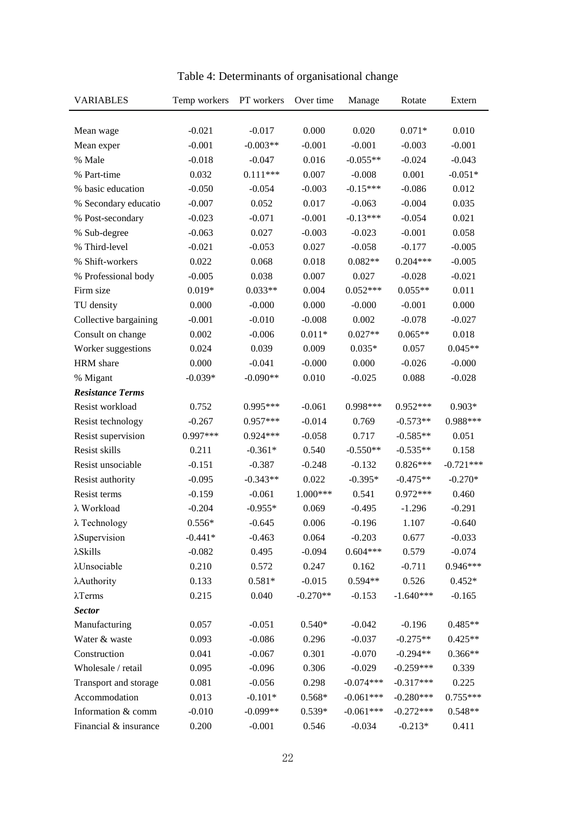| <b>VARIABLES</b>        | Temp workers | PT workers | Over time  | Manage      | Rotate      | Extern      |
|-------------------------|--------------|------------|------------|-------------|-------------|-------------|
|                         |              |            |            |             |             |             |
| Mean wage               | $-0.021$     | $-0.017$   | 0.000      | 0.020       | $0.071*$    | 0.010       |
| Mean exper              | $-0.001$     | $-0.003**$ | $-0.001$   | $-0.001$    | $-0.003$    | $-0.001$    |
| % Male                  | $-0.018$     | $-0.047$   | 0.016      | $-0.055**$  | $-0.024$    | $-0.043$    |
| % Part-time             | 0.032        | $0.111***$ | 0.007      | $-0.008$    | 0.001       | $-0.051*$   |
| % basic education       | $-0.050$     | $-0.054$   | $-0.003$   | $-0.15***$  | $-0.086$    | 0.012       |
| % Secondary educatio    | $-0.007$     | 0.052      | 0.017      | $-0.063$    | $-0.004$    | 0.035       |
| % Post-secondary        | $-0.023$     | $-0.071$   | $-0.001$   | $-0.13***$  | $-0.054$    | 0.021       |
| % Sub-degree            | $-0.063$     | 0.027      | $-0.003$   | $-0.023$    | $-0.001$    | 0.058       |
| % Third-level           | $-0.021$     | $-0.053$   | 0.027      | $-0.058$    | $-0.177$    | $-0.005$    |
| % Shift-workers         | 0.022        | 0.068      | 0.018      | $0.082**$   | $0.204***$  | $-0.005$    |
| % Professional body     | $-0.005$     | 0.038      | 0.007      | 0.027       | $-0.028$    | $-0.021$    |
| Firm size               | $0.019*$     | $0.033**$  | 0.004      | $0.052***$  | $0.055**$   | 0.011       |
| TU density              | 0.000        | $-0.000$   | 0.000      | $-0.000$    | $-0.001$    | 0.000       |
| Collective bargaining   | $-0.001$     | $-0.010$   | $-0.008$   | 0.002       | $-0.078$    | $-0.027$    |
| Consult on change       | 0.002        | $-0.006$   | $0.011*$   | $0.027**$   | $0.065**$   | 0.018       |
| Worker suggestions      | 0.024        | 0.039      | 0.009      | $0.035*$    | 0.057       | $0.045**$   |
| HRM share               | 0.000        | $-0.041$   | $-0.000$   | 0.000       | $-0.026$    | $-0.000$    |
| % Migant                | $-0.039*$    | $-0.090**$ | 0.010      | $-0.025$    | 0.088       | $-0.028$    |
| <b>Resistance Terms</b> |              |            |            |             |             |             |
| Resist workload         | 0.752        | $0.995***$ | $-0.061$   | 0.998***    | $0.952***$  | $0.903*$    |
| Resist technology       | $-0.267$     | $0.957***$ | $-0.014$   | 0.769       | $-0.573**$  | 0.988***    |
| Resist supervision      | 0.997***     | $0.924***$ | $-0.058$   | 0.717       | $-0.585**$  | 0.051       |
| Resist skills           | 0.211        | $-0.361*$  | 0.540      | $-0.550**$  | $-0.535**$  | 0.158       |
| Resist unsociable       | $-0.151$     | $-0.387$   | $-0.248$   | $-0.132$    | $0.826***$  | $-0.721***$ |
| Resist authority        | $-0.095$     | $-0.343**$ | 0.022      | $-0.395*$   | $-0.475**$  | $-0.270*$   |
| Resist terms            | $-0.159$     | $-0.061$   | $1.000***$ | 0.541       | $0.972***$  | 0.460       |
| λ Workload              | $-0.204$     | $-0.955*$  | 0.069      | $-0.495$    | $-1.296$    | $-0.291$    |
| $\lambda$ Technology    | $0.556*$     | $-0.645$   | 0.006      | $-0.196$    | 1.107       | $-0.640$    |
| λSupervision            | $-0.441*$    | $-0.463$   | 0.064      | $-0.203$    | 0.677       | $-0.033$    |
| $\lambda$ Skills        | $-0.082$     | 0.495      | $-0.094$   | $0.604***$  | 0.579       | $-0.074$    |
| λUnsociable             | 0.210        | 0.572      | 0.247      | 0.162       | $-0.711$    | $0.946***$  |
| λAuthority              | 0.133        | $0.581*$   | $-0.015$   | $0.594**$   | 0.526       | $0.452*$    |
| $\lambda$ Terms         | 0.215        | 0.040      | $-0.270**$ | $-0.153$    | $-1.640***$ | $-0.165$    |
| <b>Sector</b>           |              |            |            |             |             |             |
| Manufacturing           | 0.057        | $-0.051$   | $0.540*$   | $-0.042$    | $-0.196$    | $0.485**$   |
| Water & waste           | 0.093        | $-0.086$   | 0.296      | $-0.037$    | $-0.275**$  | $0.425**$   |
| Construction            | 0.041        | $-0.067$   | 0.301      | $-0.070$    | $-0.294**$  | $0.366**$   |
| Wholesale / retail      | 0.095        | $-0.096$   | 0.306      | $-0.029$    | $-0.259***$ | 0.339       |
| Transport and storage   | 0.081        | $-0.056$   | 0.298      | $-0.074***$ | $-0.317***$ | 0.225       |
| Accommodation           | 0.013        | $-0.101*$  | $0.568*$   | $-0.061***$ | $-0.280***$ | $0.755***$  |
| Information & comm      | $-0.010$     | $-0.099**$ | $0.539*$   | $-0.061***$ | $-0.272***$ | $0.548**$   |
| Financial & insurance   | 0.200        | $-0.001$   | 0.546      | $-0.034$    | $-0.213*$   | 0.411       |

Table 4: Determinants of organisational change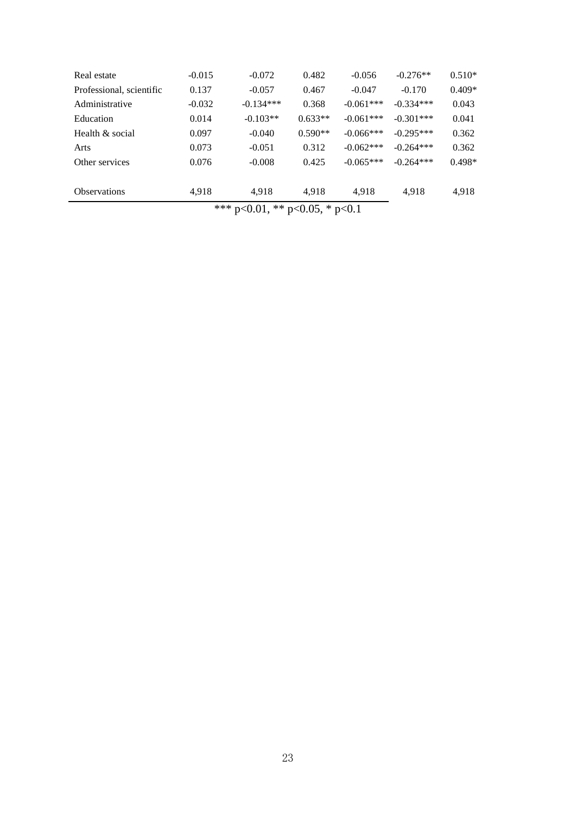| Health & social     | 0.097 | $-0.040$                               | $0.590**$ | $-0.066***$ | $-0.301***$<br>$-0.295***$ | 0.362  |
|---------------------|-------|----------------------------------------|-----------|-------------|----------------------------|--------|
| Arts                | 0.073 | $-0.051$                               | 0.312     | $-0.062***$ | $-0.264***$                | 0.362  |
| Other services      | 0.076 | $-0.008$                               | 0.425     | $-0.065***$ | $-0.264***$                | 0.498* |
| <b>Observations</b> | 4.918 | 4.918                                  | 4.918     | 4,918       | 4.918                      | 4,918  |
|                     |       | *** $p<0.01$ , ** $p<0.05$ , * $p<0.1$ |           |             |                            |        |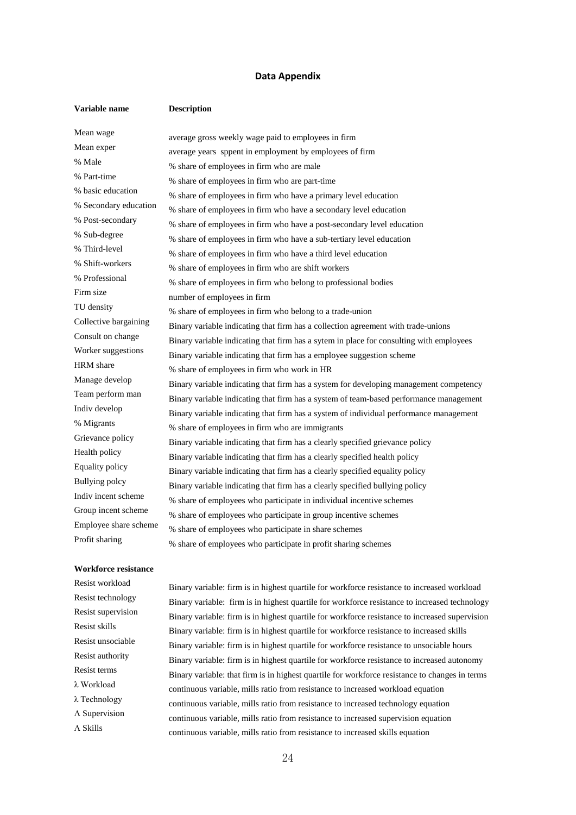#### **Data Appendix**

| Variable name         | <b>Description</b>                                                                      |
|-----------------------|-----------------------------------------------------------------------------------------|
| Mean wage             | average gross weekly wage paid to employees in firm                                     |
| Mean exper            | average years sppent in employment by employees of firm                                 |
| % Male                | % share of employees in firm who are male                                               |
| % Part-time           | % share of employees in firm who are part-time                                          |
| % basic education     | % share of employees in firm who have a primary level education                         |
| % Secondary education | % share of employees in firm who have a secondary level education                       |
| % Post-secondary      | % share of employees in firm who have a post-secondary level education                  |
| % Sub-degree          | % share of employees in firm who have a sub-tertiary level education                    |
| % Third-level         | % share of employees in firm who have a third level education                           |
| % Shift-workers       | % share of employees in firm who are shift workers                                      |
| % Professional        | % share of employees in firm who belong to professional bodies                          |
| Firm size             | number of employees in firm                                                             |
| TU density            | % share of employees in firm who belong to a trade-union                                |
| Collective bargaining | Binary variable indicating that firm has a collection agreement with trade-unions       |
| Consult on change     | Binary variable indicating that firm has a sytem in place for consulting with employees |
| Worker suggestions    | Binary variable indicating that firm has a employee suggestion scheme                   |
| HRM share             | % share of employees in firm who work in HR                                             |
| Manage develop        | Binary variable indicating that firm has a system for developing management competency  |
| Team perform man      | Binary variable indicating that firm has a system of team-based performance management  |
| Indiv develop         | Binary variable indicating that firm has a system of individual performance management  |
| % Migrants            | % share of employees in firm who are immigrants                                         |
| Grievance policy      | Binary variable indicating that firm has a clearly specified grievance policy           |
| Health policy         | Binary variable indicating that firm has a clearly specified health policy              |
| Equality policy       | Binary variable indicating that firm has a clearly specified equality policy            |
| <b>Bullying polcy</b> | Binary variable indicating that firm has a clearly specified bullying policy            |
| Indiv incent scheme   | % share of employees who participate in individual incentive schemes                    |
| Group incent scheme   | % share of employees who participate in group incentive schemes                         |
| Employee share scheme | % share of employees who participate in share schemes                                   |
| Profit sharing        | % share of employees who participate in profit sharing schemes                          |

#### **Workforce resistance**

Resist workload<br>Binary variable: firm is in highest quartile for workforce resistance to increased workload<br>Resist technology<br>Resist technology Resist technology<br>Resist supervision<br>Resist supervision<br>Resist supervision<br>Resist supervision Resist supervision<br>
Binary variable: firm is in highest quartile for workforce resistance to increased supervision<br>
Resist skills Resist skills<br>Binary variable: firm is in highest quartile for workforce resistance to increased skills<br>Resist unsociable<br> $\frac{1}{2}$ Resist unsociable<br>Binary variable: firm is in highest quartile for workforce resistance to unsociable hours<br>Resist authority Resist authority<br>
Resist terms<br>
Resist terms<br>
Resist terms<br>
Resist terms<br>
Resist terms<br>
Resist terms<br>
Resist terms<br>
Resist terms<br>
Resist terms<br>
Resist terms<br>
Resist terms<br>
Resisted by the procedure of the procedure to the Resist terms Binary variable: that firm is in highest quartile for workforce resistance to changes in terms  $\lambda$  Workload  $\lambda$  Workload continuous variable, mills ratio from resistance to increased workload equation  $\lambda$  Technology λ Technology continuous variable, mills ratio from resistance to increased technology equation  $Λ$  Supervision continuous variable, mills ratio from resistance to increased supervision equation  $Λ$  Skills continuous variable, mills ratio from resistance to increased skills equation